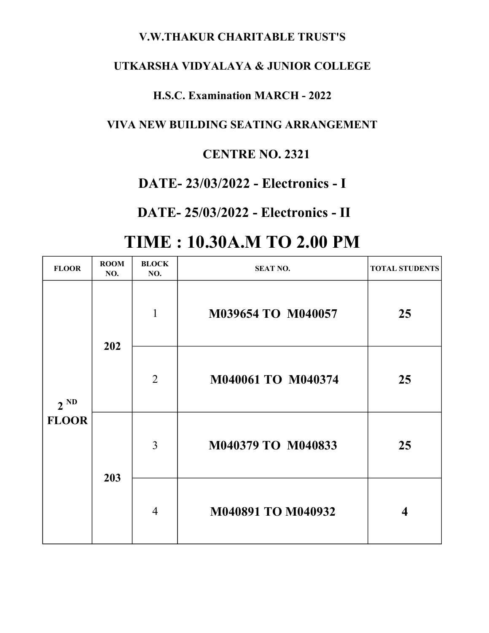### V.W.THAKUR CHARITABLE TRUST'S

### UTKARSHA VIDYALAYA & JUNIOR COLLEGE

### H.S.C. Examination MARCH - 2022

### VIVA NEW BUILDING SEATING ARRANGEMENT

### CENTRE NO. 2321

## DATE- 23/03/2022 - Electronics - I

## DATE- 25/03/2022 - Electronics - II

# TIME : 10.30A.M TO 2.00 PM

| <b>FLOOR</b>             | <b>ROOM</b><br>NO. | <b>BLOCK</b><br>NO. | <b>SEAT NO.</b>    | <b>TOTAL STUDENTS</b> |
|--------------------------|--------------------|---------------------|--------------------|-----------------------|
| $2^{ND}$<br><b>FLOOR</b> | 202                | 1                   | M039654 TO M040057 | 25                    |
|                          |                    | $\overline{2}$      | M040061 TO M040374 | 25                    |
|                          | 203                | $\overline{3}$      | M040379 TO M040833 | 25                    |
|                          |                    | $\overline{4}$      | M040891 TO M040932 | $\boldsymbol{4}$      |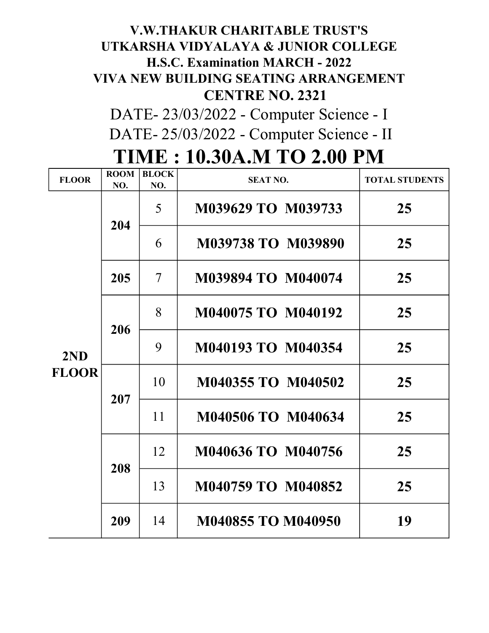# CENTRE NO. 2321 V.W.THAKUR CHARITABLE TRUST'S UTKARSHA VIDYALAYA & JUNIOR COLLEGE H.S.C. Examination MARCH - 2022 VIVA NEW BUILDING SEATING ARRANGEMENT

 DATE- 25/03/2022 - Computer Science - II DATE- 23/03/2022 - Computer Science - I

| <b>FLOOR</b>        | <b>ROOM</b><br>NO. | <b>BLOCK</b><br>NO.      | <b>SEAT NO.</b>    | <b>TOTAL STUDENTS</b> |
|---------------------|--------------------|--------------------------|--------------------|-----------------------|
| 2ND<br><b>FLOOR</b> | 204                | 5                        | M039629 TO M039733 | 25                    |
|                     |                    | 6                        | M039738 TO M039890 | 25                    |
|                     | 205                | $\overline{\mathcal{L}}$ | M039894 TO M040074 | 25                    |
|                     | 206                | 8                        | M040075 TO M040192 | 25                    |
|                     |                    | 9                        | M040193 TO M040354 | 25                    |
|                     | 207                | 10                       | M040355 TO M040502 | 25                    |
|                     |                    | 11                       | M040506 TO M040634 | 25                    |
|                     | 208                | 12                       | M040636 TO M040756 | 25                    |
|                     |                    | 13                       | M040759 TO M040852 | 25                    |
|                     | 209                | 14                       | M040855 TO M040950 | 19                    |

# TIME : 10.30A.M TO 2.00 PM